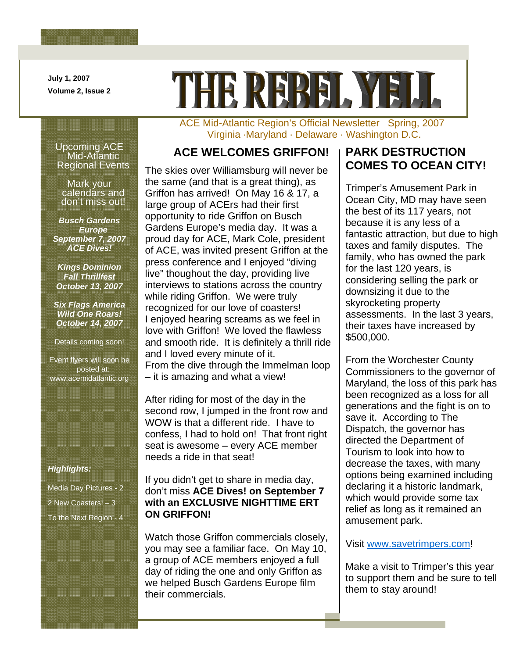**July 1, 2007 Volume 2, Issue 2** 

Ι

# THE REPEI. YET

### ACE Mid-Atlantic Region's Official Newsletter Spring, 2007 Virginia ·Maryland · Delaware · Washington D.C.

### **ACE WELCOMES GRIFFON! PARK DESTRUCTION**

The skies over Williamsburg will never be the same (and that is a great thing), as Griffon has arrived! On May 16 & 17, a large group of ACErs had their first opportunity to ride Griffon on Busch Gardens Europe's media day. It was a proud day for ACE, Mark Cole, president of ACE, was invited present Griffon at the press conference and I enjoyed "diving live" thoughout the day, providing live interviews to stations across the country while riding Griffon. We were truly recognized for our love of coasters! I enjoyed hearing screams as we feel in love with Griffon! We loved the flawless and smooth ride. It is definitely a thrill ride and I loved every minute of it. From the dive through the Immelman loop – it is amazing and what a view!

After riding for most of the day in the second row, I jumped in the front row and WOW is that a different ride. I have to confess, I had to hold on! That front right seat is awesome – every ACE member needs a ride in that seat!

### If you didn't get to share in media day, don't miss **ACE Dives! on September 7 with an EXCLUSIVE NIGHTTIME ERT ON GRIFFON!**

Watch those Griffon commercials closely, you may see a familiar face. On May 10, a group of ACE members enjoyed a full day of riding the one and only Griffon as we helped Busch Gardens Europe film their commercials.

# **COMES TO OCEAN CITY!**

Trimper's Amusement Park in Ocean City, MD may have seen the best of its 117 years, not because it is any less of a fantastic attraction, but due to high taxes and family disputes. The family, who has owned the park for the last 120 years, is considering selling the park or downsizing it due to the skyrocketing property assessments. In the last 3 years, their taxes have increased by \$500,000.

From the Worchester County Commissioners to the governor of Maryland, the loss of this park has been recognized as a loss for all generations and the fight is on to save it. According to The Dispatch, the governor has directed the Department of Tourism to look into how to decrease the taxes, with many options being examined including declaring it a historic landmark, which would provide some tax relief as long as it remained an amusement park.

### Visit [www.savetrimpers.com!](http://www.savetrimpers.com/)

Make a visit to Trimper's this year to support them and be sure to tell them to stay around!

### Upcoming ACE Mid-Atlantic Regional Events

Mark your calendars and don't miss out!

*Busch Gardens Europe September 7, 2007 ACE Dives!* 

*Kings Dominion Fall Thrillfest October 13, 2007* 

*Six Flags America Wild One Roars! October 14, 2007* 

Details coming soon!

Event flyers will soon be posted at: www.acemidatlantic.org

### *Highlights:*

Media Day Pictures - 2 2 New Coasters! – 3 To the Next Region - 4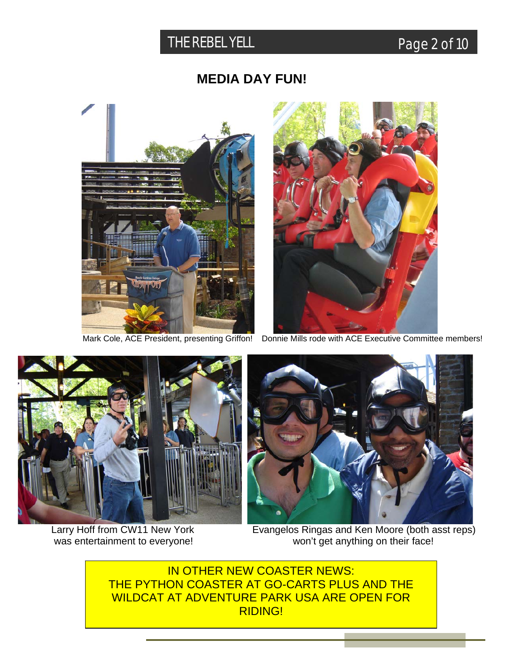## THE REBEL YELL **Page 2 of 10**

### **MEDIA DAY FUN!**





Mark Cole, ACE President, presenting Griffon! Donnie Mills rode with ACE Executive Committee members!





Larry Hoff from CW11 New York **Evangelos Ringas and Ken Moore (both asst reps)** was entertainment to everyone! won't get anything on their face!

IN OTHER NEW COASTER NEWS: THE PYTHON COASTER AT GO-CARTS PLUS AND THE WILDCAT AT ADVENTURE PARK USA ARE OPEN FOR RIDING!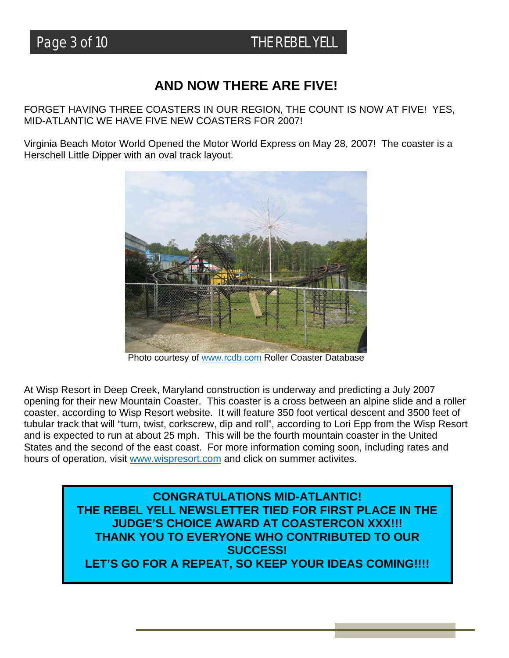### **AND NOW THERE ARE FIVE!**

FORGET HAVING THREE COASTERS IN OUR REGION, THE COUNT IS NOW AT FIVE! YES, MID-ATLANTIC WE HAVE FIVE NEW COASTERS FOR 2007!

Virginia Beach Motor World Opened the Motor World Express on May 28, 2007! The coaster is a Herschell Little Dipper with an oval track layout.



Photo courtesy of [www.rcdb.com](http://www.rcdb.com/) Roller Coaster Database

At Wisp Resort in Deep Creek, Maryland construction is underway and predicting a July 2007 opening for their new Mountain Coaster. This coaster is a cross between an alpine slide and a roller coaster, according to Wisp Resort website. It will feature 350 foot vertical descent and 3500 feet of tubular track that will "turn, twist, corkscrew, dip and roll", according to Lori Epp from the Wisp Resort and is expected to run at about 25 mph. This will be the fourth mountain coaster in the United States and the second of the east coast. For more information coming soon, including rates and hours of operation, visit [www.wispresort.com](http://www.wispresort.com/) and click on summer activites.

> **CONGRATULATIONS MID-ATLANTIC! THE REBEL YELL NEWSLETTER TIED FOR FIRST PLACE IN THE JUDGE'S CHOICE AWARD AT COASTERCON XXX!!! THANK YOU TO EVERYONE WHO CONTRIBUTED TO OUR SUCCESS!**  LET'S GO FOR A REPEAT, SO KEEP YOUR IDEAS COMING!!!!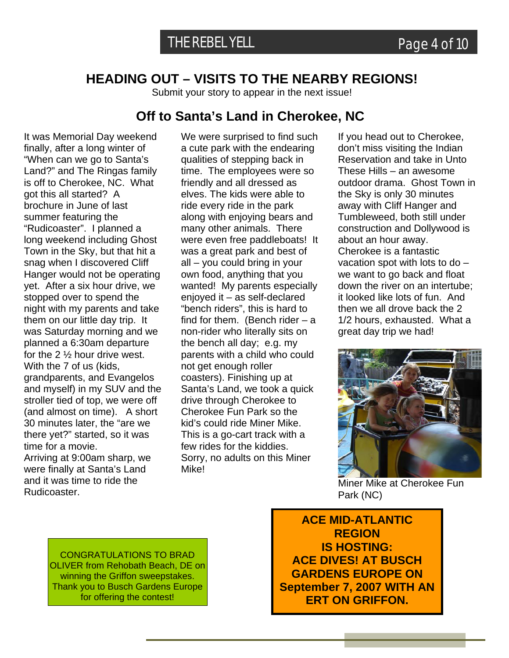### **HEADING OUT – VISITS TO THE NEARBY REGIONS!**

Submit your story to appear in the next issue!

### **Off to Santa's Land in Cherokee, NC**

It was Memorial Day weekend finally, after a long winter of "When can we go to Santa's Land?" and The Ringas family is off to Cherokee, NC. What got this all started? A brochure in June of last summer featuring the "Rudicoaster". I planned a long weekend including Ghost Town in the Sky, but that hit a snag when I discovered Cliff Hanger would not be operating yet. After a six hour drive, we stopped over to spend the night with my parents and take them on our little day trip. It was Saturday morning and we planned a 6:30am departure for the 2 ½ hour drive west. With the 7 of us (kids, grandparents, and Evangelos and myself) in my SUV and the stroller tied of top, we were off (and almost on time). A short 30 minutes later, the "are we there yet?" started, so it was time for a movie.

Arriving at 9:00am sharp, we were finally at Santa's Land and it was time to ride the Rudicoaster.

We were surprised to find such a cute park with the endearing qualities of stepping back in time. The employees were so friendly and all dressed as elves. The kids were able to ride every ride in the park along with enjoying bears and many other animals. There were even free paddleboats! It was a great park and best of all – you could bring in your own food, anything that you wanted! My parents especially enjoyed it – as self-declared "bench riders", this is hard to find for them. (Bench rider – a non-rider who literally sits on the bench all day; e.g. my parents with a child who could not get enough roller coasters). Finishing up at Santa's Land, we took a quick drive through Cherokee to Cherokee Fun Park so the kid's could ride Miner Mike. This is a go-cart track with a few rides for the kiddies. Sorry, no adults on this Miner Mike!

If you head out to Cherokee, don't miss visiting the Indian Reservation and take in Unto These Hills – an awesome outdoor drama. Ghost Town in the Sky is only 30 minutes away with Cliff Hanger and Tumbleweed, both still under construction and Dollywood is about an hour away. Cherokee is a fantastic vacation spot with lots to do – we want to go back and float down the river on an intertube; it looked like lots of fun. And then we all drove back the 2 1/2 hours, exhausted. What a great day trip we had!



Miner Mike at Cherokee Fun Park (NC)

CONGRATULATIONS TO BRAD OLIVER from Rehobath Beach, DE on winning the Griffon sweepstakes. Thank you to Busch Gardens Europe for offering the contest!

**ACE MID-ATLANTIC REGION IS HOSTING: ACE DIVES! AT BUSCH GARDENS EUROPE ON September 7, 2007 WITH AN ERT ON GRIFFON.**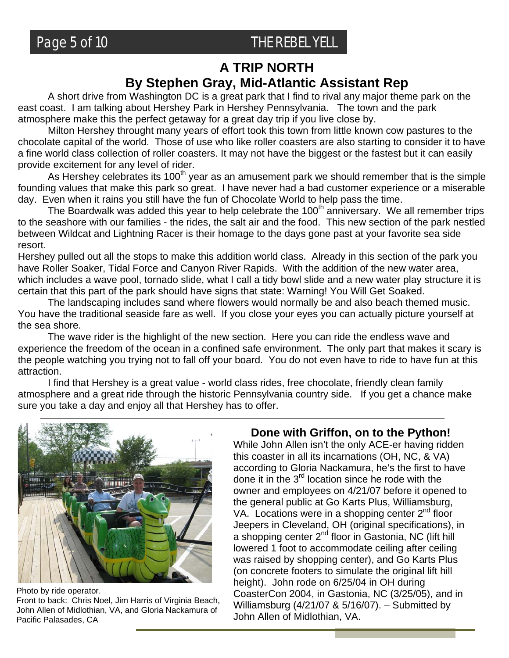### Page 5 of 10 THE REBEL YELL

### **A TRIP NORTH By Stephen Gray, Mid-Atlantic Assistant Rep**

A short drive from Washington DC is a great park that I find to rival any major theme park on the east coast. I am talking about Hershey Park in Hershey Pennsylvania. The town and the park atmosphere make this the perfect getaway for a great day trip if you live close by.

 Milton Hershey throught many years of effort took this town from little known cow pastures to the chocolate capital of the world. Those of use who like roller coasters are also starting to consider it to have a fine world class collection of roller coasters. It may not have the biggest or the fastest but it can easily provide excitement for any level of rider.

As Hershey celebrates its  $100<sup>th</sup>$  year as an amusement park we should remember that is the simple founding values that make this park so great. I have never had a bad customer experience or a miserable day. Even when it rains you still have the fun of Chocolate World to help pass the time.

The Boardwalk was added this year to help celebrate the  $100<sup>th</sup>$  anniversary. We all remember trips to the seashore with our families - the rides, the salt air and the food. This new section of the park nestled between Wildcat and Lightning Racer is their homage to the days gone past at your favorite sea side resort.

Hershey pulled out all the stops to make this addition world class. Already in this section of the park you have Roller Soaker, Tidal Force and Canyon River Rapids. With the addition of the new water area, which includes a wave pool, tornado slide, what I call a tidy bowl slide and a new water play structure it is certain that this part of the park should have signs that state: Warning! You Will Get Soaked.

 The landscaping includes sand where flowers would normally be and also beach themed music. You have the traditional seaside fare as well. If you close your eyes you can actually picture yourself at the sea shore.

 The wave rider is the highlight of the new section. Here you can ride the endless wave and experience the freedom of the ocean in a confined safe environment. The only part that makes it scary is the people watching you trying not to fall off your board. You do not even have to ride to have fun at this attraction.

 I find that Hershey is a great value - world class rides, free chocolate, friendly clean family atmosphere and a great ride through the historic Pennsylvania country side. If you get a chance make sure you take a day and enjoy all that Hershey has to offer.



Photo by ride operator. Front to back: Chris Noel, Jim Harris of Virginia Beach, John Allen of Midlothian, VA, and Gloria Nackamura of Pacific Palasades, CA

### **Done with Griffon, on to the Python!**

While John Allen isn't the only ACE-er having ridden this coaster in all its incarnations (OH, NC, & VA) according to Gloria Nackamura, he's the first to have done it in the  $3<sup>rd</sup>$  location since he rode with the owner and employees on 4/21/07 before it opened to the general public at Go Karts Plus, Williamsburg, VA. Locations were in a shopping center 2<sup>nd</sup> floor Jeepers in Cleveland, OH (original specifications), in a shopping center 2<sup>nd</sup> floor in Gastonia, NC (lift hill lowered 1 foot to accommodate ceiling after ceiling was raised by shopping center), and Go Karts Plus (on concrete footers to simulate the original lift hill height). John rode on 6/25/04 in OH during CoasterCon 2004, in Gastonia, NC (3/25/05), and in Williamsburg (4/21/07 & 5/16/07). – Submitted by John Allen of Midlothian, VA.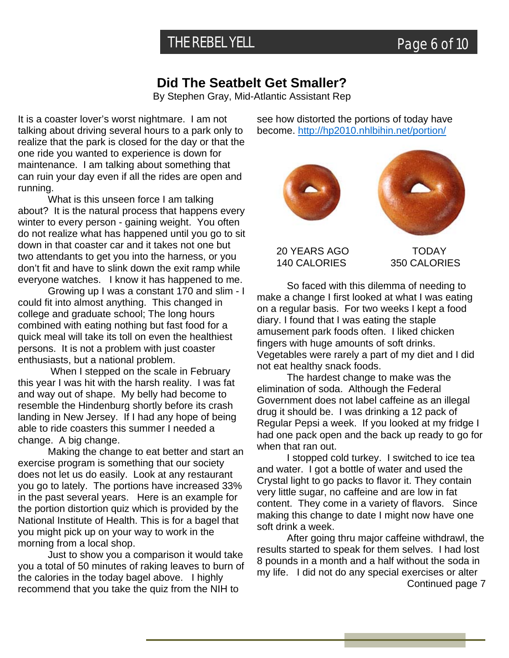### **Did The Seatbelt Get Smaller?**

By Stephen Gray, Mid-Atlantic Assistant Rep

It is a coaster lover's worst nightmare. I am not talking about driving several hours to a park only to realize that the park is closed for the day or that the one ride you wanted to experience is down for maintenance. I am talking about something that can ruin your day even if all the rides are open and running.

 What is this unseen force I am talking about? It is the natural process that happens every winter to every person - gaining weight. You often do not realize what has happened until you go to sit down in that coaster car and it takes not one but two attendants to get you into the harness, or you don't fit and have to slink down the exit ramp while everyone watches. I know it has happened to me.

 Growing up I was a constant 170 and slim - I could fit into almost anything. This changed in college and graduate school; The long hours combined with eating nothing but fast food for a quick meal will take its toll on even the healthiest persons. It is not a problem with just coaster enthusiasts, but a national problem.

 When I stepped on the scale in February this year I was hit with the harsh reality. I was fat and way out of shape. My belly had become to resemble the Hindenburg shortly before its crash landing in New Jersey. If I had any hope of being able to ride coasters this summer I needed a change. A big change.

Making the change to eat better and start an exercise program is something that our society does not let us do easily. Look at any restaurant you go to lately. The portions have increased 33% in the past several years. Here is an example for the portion distortion quiz which is provided by the National Institute of Health. This is for a bagel that you might pick up on your way to work in the morning from a local shop.

Just to show you a comparison it would take you a total of 50 minutes of raking leaves to burn of the calories in the today bagel above. I highly recommend that you take the quiz from the NIH to

see how distorted the portions of today have become. <http://hp2010.nhlbihin.net/portion/>



 20 YEARS AGO TODAY 140 CALORIES 350 CALORIES

So faced with this dilemma of needing to make a change I first looked at what I was eating on a regular basis. For two weeks I kept a food diary. I found that I was eating the staple amusement park foods often. I liked chicken fingers with huge amounts of soft drinks. Vegetables were rarely a part of my diet and I did not eat healthy snack foods.

The hardest change to make was the elimination of soda. Although the Federal Government does not label caffeine as an illegal drug it should be. I was drinking a 12 pack of Regular Pepsi a week. If you looked at my fridge I had one pack open and the back up ready to go for when that ran out.

I stopped cold turkey. I switched to ice tea and water. I got a bottle of water and used the Crystal light to go packs to flavor it. They contain very little sugar, no caffeine and are low in fat content. They come in a variety of flavors. Since making this change to date I might now have one soft drink a week.

 After going thru major caffeine withdrawl, the results started to speak for them selves. I had lost 8 pounds in a month and a half without the soda in my life. I did not do any special exercises or alter

Continued page 7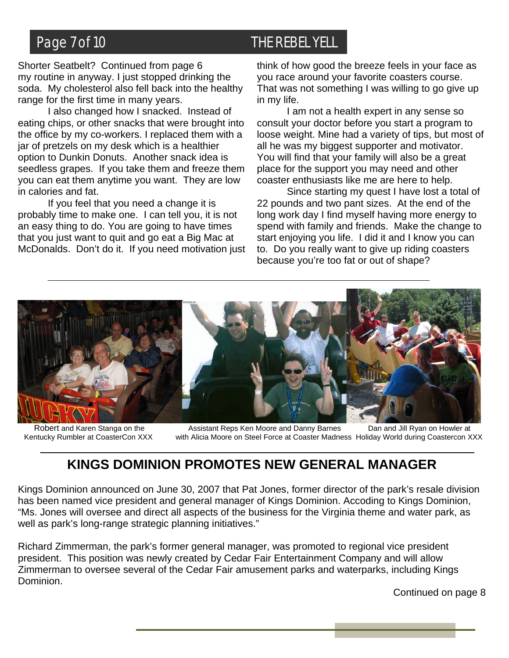Shorter Seatbelt? Continued from page 6 my routine in anyway. I just stopped drinking the soda. My cholesterol also fell back into the healthy range for the first time in many years.

 I also changed how I snacked. Instead of eating chips, or other snacks that were brought into the office by my co-workers. I replaced them with a jar of pretzels on my desk which is a healthier option to Dunkin Donuts. Another snack idea is seedless grapes. If you take them and freeze them you can eat them anytime you want. They are low in calories and fat.

 If you feel that you need a change it is probably time to make one. I can tell you, it is not an easy thing to do. You are going to have times that you just want to quit and go eat a Big Mac at McDonalds. Don't do it. If you need motivation just

### Page 7 of 10 THE REBEL YELL

think of how good the breeze feels in your face as you race around your favorite coasters course. That was not something I was willing to go give up in my life.

 I am not a health expert in any sense so consult your doctor before you start a program to loose weight. Mine had a variety of tips, but most of all he was my biggest supporter and motivator. You will find that your family will also be a great place for the support you may need and other coaster enthusiasts like me are here to help.

 Since starting my quest I have lost a total of 22 pounds and two pant sizes. At the end of the long work day I find myself having more energy to spend with family and friends. Make the change to start enjoying you life. I did it and I know you can to. Do you really want to give up riding coasters because you're too fat or out of shape?



Robert and Karen Stanga on the **Assistant Reps Ken Moore and Danny Barnes** Dan and Jill Ryan on Howler at Kentucky Rumbler at CoasterCon XXX with Alicia Moore on Steel Force at Coaster Madness Holiday World during Coastercon XXX

### **KINGS DOMINION PROMOTES NEW GENERAL MANAGER**

Kings Dominion announced on June 30, 2007 that Pat Jones, former director of the park's resale division has been named vice president and general manager of Kings Dominion. Accoding to Kings Dominion, "Ms. Jones will oversee and direct all aspects of the business for the Virginia theme and water park, as well as park's long-range strategic planning initiatives."

Richard Zimmerman, the park's former general manager, was promoted to regional vice president president. This position was newly created by Cedar Fair Entertainment Company and will allow Zimmerman to oversee several of the Cedar Fair amusement parks and waterparks, including Kings Dominion.

Continued on page 8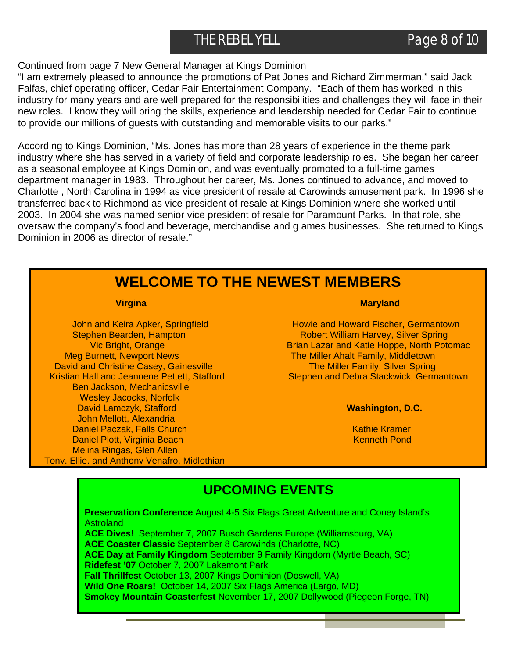### THE REBEL YELL **Page 8 of 10**

### Continued from page 7 New General Manager at Kings Dominion

"I am extremely pleased to announce the promotions of Pat Jones and Richard Zimmerman," said Jack Falfas, chief operating officer, Cedar Fair Entertainment Company. "Each of them has worked in this industry for many years and are well prepared for the responsibilities and challenges they will face in their new roles. I know they will bring the skills, experience and leadership needed for Cedar Fair to continue to provide our millions of guests with outstanding and memorable visits to our parks."

According to Kings Dominion, "Ms. Jones has more than 28 years of experience in the theme park industry where she has served in a variety of field and corporate leadership roles. She began her career as a seasonal employee at Kings Dominion, and was eventually promoted to a full-time games department manager in 1983. Throughout her career, Ms. Jones continued to advance, and moved to Charlotte , North Carolina in 1994 as vice president of resale at Carowinds amusement park. In 1996 she transferred back to Richmond as vice president of resale at Kings Dominion where she worked until 2003. In 2004 she was named senior vice president of resale for Paramount Parks. In that role, she oversaw the company's food and beverage, merchandise and g ames businesses. She returned to Kings Dominion in 2006 as director of resale."

### **WELCOME TO THE NEWEST MEMBERS**

Meg Burnett, Newport News The Miller Ahalt Family, Middletown David and Christine Casey, Gainesville The Miller Family, Silver Spring Ben Jackson, Mechanicsville Wesley Jacocks, Norfolk David Lamczyk, Stafford **Washington, D.C.** John Mellott, Alexandria Daniel Paczak, Falls Church Kathie Kramer Kathie Kramer Kathie Kramer Daniel Plott, Virginia Beach Kenneth Pond Kenneth Pond Melina Ringas, Glen Allen Tony, Ellie, and Anthony Venafro, Midlothian

### *Maryland* **Maryland Communication Communication Communication Maryland**

John and Keira Apker, Springfield **Howie and Howard Fischer, Germantown** Stephen Bearden, Hampton **Robert William Harvey, Silver Spring** Vic Bright, Orange **Brian Lazar and Katie Hoppe, North Potomac** Kristian Hall and Jeannene Pettett, Stafford Stephen and Debra Stackwick, Germantown

### **UPCOMING EVENTS**

**Preservation Conference** August 4-5 Six Flags Great Adventure and Coney Island's **Astroland ACE Dives!** September 7, 2007 Busch Gardens Europe (Williamsburg, VA) **ACE Coaster Classic** September 8 Carowinds (Charlotte, NC) **ACE Day at Family Kingdom** September 9 Family Kingdom (Myrtle Beach, SC) **Ridefest '07** October 7, 2007 Lakemont Park **Fall Thrillfest** October 13, 2007 Kings Dominion (Doswell, VA) **Wild One Roars!** October 14, 2007 Six Flags America (Largo, MD) **Smokey Mountain Coasterfest** November 17, 2007 Dollywood (Piegeon Forge, TN)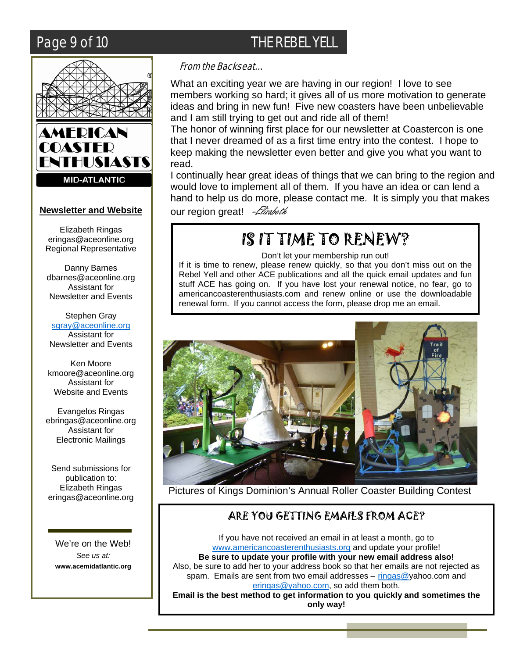I



### **Newsletter and Website**

Elizabeth Ringas [eringas@aceonline.org](mailto:eringas@aceonline.org)  Regional Representative

Danny Barnes [dbarnes@aceonline.org](mailto:dbarnes@aceonline.org)  Assistant for Newsletter and Events

Stephen Gray [sgray@aceonline.org](mailto:sgray@aceonline.org) Assistant for Newsletter and Events

Ken Moore [kmoore@aceonline.org](mailto:kmoore@aceonline.org) Assistant for Website and Events

Evangelos Ringas ebringas@aceonline.org Assistant for Electronic Mailings

Send submissions for publication to: Elizabeth Ringas eringas@aceonline.org

We're on the Web! *See us at:*  **[www.acemidatlantic.](http://www.acemidatlantic/)org** 

### From the Backseat…

What an exciting year we are having in our region! I love to see members working so hard; it gives all of us more motivation to generate ideas and bring in new fun! Five new coasters have been unbelievable and I am still trying to get out and ride all of them!

The honor of winning first place for our newsletter at Coastercon is one that I never dreamed of as a first time entry into the contest. I hope to keep making the newsletter even better and give you what you want to read.

I continually hear great ideas of things that we can bring to the region and would love to implement all of them. If you have an idea or can lend a hand to help us do more, please contact me. It is simply you that makes our region great! - Elizabeth

# IS IT TIME TO RENEW?

Don't let your membership run out!

If it is time to renew, please renew quickly, so that you don't miss out on the Rebel Yell and other ACE publications and all the quick email updates and fun stuff ACE has going on. If you have lost your renewal notice, no fear, go to americancoasterenthusiasts.com and renew online or use the downloadable renewal form. If you cannot access the form, please drop me an email.



Pictures of Kings Dominion's Annual Roller Coaster Building Contest

### ARE YOU GETTING EMAILS FROM ACE?

If you have not received an email in at least a month, go to [www.americancoasterenthusiasts.org](http://www.americancoasterenthusiasts.org/) and update your profile! **Be sure to update your profile with your new email address also!**  Also, be sure to add her to your address book so that her emails are not rejected as spam. Emails are sent from two email addresses – [ringas@](mailto:ringas@)yahoo.com and [eringas@yahoo.com,](mailto:eringas@yahoo.com) so add them both.

**Email is the best method to get information to you quickly and sometimes the only way!** 

### Page 9 of 10 THE REBEL YELL